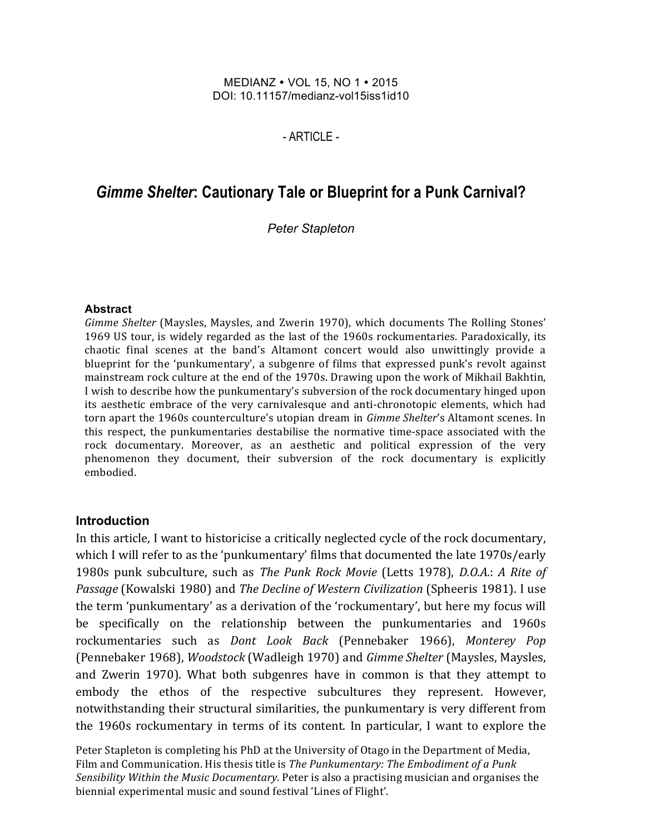#### MEDIANZ • VOL 15, NO 1 • 2015 DOI: 10.11157/medianz-vol15iss1id10

### - ARTICLE -

# *Gimme Shelter***: Cautionary Tale or Blueprint for a Punk Carnival?**

*Peter Stapleton*

#### **Abstract**

Gimme Shelter (Maysles, Maysles, and Zwerin 1970), which documents The Rolling Stones' 1969 US tour, is widely regarded as the last of the 1960s rockumentaries. Paradoxically, its chaotic final scenes at the band's Altamont concert would also unwittingly provide a blueprint for the 'punkumentary', a subgenre of films that expressed punk's revolt against mainstream rock culture at the end of the 1970s. Drawing upon the work of Mikhail Bakhtin, I wish to describe how the punkumentary's subversion of the rock documentary hinged upon its aesthetic embrace of the very carnivalesque and anti-chronotopic elements, which had torn apart the 1960s counterculture's utopian dream in *Gimme Shelter's* Altamont scenes. In this respect, the punkumentaries destabilise the normative time-space associated with the rock documentary. Moreover, as an aesthetic and political expression of the very phenomenon they document, their subversion of the rock documentary is explicitly embodied.

### **Introduction**

In this article, I want to historicise a critically neglected cycle of the rock documentary, which I will refer to as the 'punkumentary' films that documented the late 1970s/early 1980s punk subculture, such as *The Punk Rock Movie* (Letts 1978), *D.O.A.*: *A Rite of Passage* (Kowalski 1980) and *The Decline of Western Civilization* (Spheeris 1981). I use the term 'punkumentary' as a derivation of the 'rockumentary', but here my focus will be specifically on the relationship between the punkumentaries and 1960s rockumentaries such as *Dont Look Back* (Pennebaker 1966), *Monterey Pop* (Pennebaker 1968), *Woodstock* (Wadleigh 1970) and *Gimme Shelter* (Maysles, Maysles, and Zwerin 1970). What both subgenres have in common is that they attempt to embody the ethos of the respective subcultures they represent. However, notwithstanding their structural similarities, the punkumentary is very different from the 1960s rockumentary in terms of its content. In particular, I want to explore the

Peter Stapleton is completing his PhD at the University of Otago in the Department of Media, Film and Communication. His thesis title is *The Punkumentary: The Embodiment of a Punk* Sensibility Within the Music Documentary. Peter is also a practising musician and organises the biennial experimental music and sound festival 'Lines of Flight'.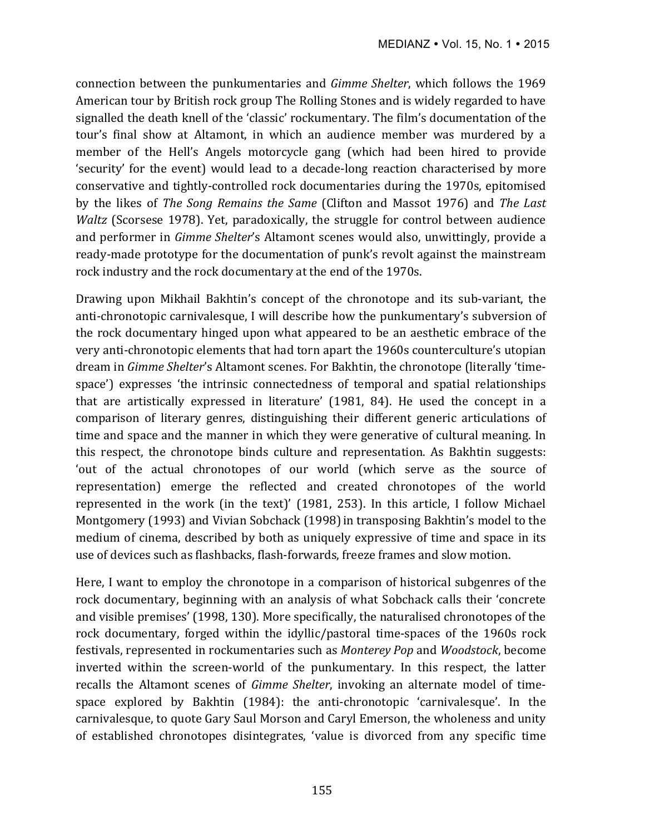connection between the punkumentaries and *Gimme Shelter*, which follows the 1969 American tour by British rock group The Rolling Stones and is widely regarded to have signalled the death knell of the 'classic' rockumentary. The film's documentation of the tour's final show at Altamont, in which an audience member was murdered by a member of the Hell's Angels motorcycle gang (which had been hired to provide 'security' for the event) would lead to a decade-long reaction characterised by more conservative and tightly-controlled rock documentaries during the 1970s, epitomised by the likes of *The Song Remains the Same* (Clifton and Massot 1976) and *The Last Waltz* (Scorsese 1978). Yet, paradoxically, the struggle for control between audience and performer in *Gimme Shelter's* Altamont scenes would also, unwittingly, provide a ready-made prototype for the documentation of punk's revolt against the mainstream rock industry and the rock documentary at the end of the 1970s.

Drawing upon Mikhail Bakhtin's concept of the chronotope and its sub-variant, the anti-chronotopic carnivalesque, I will describe how the punkumentary's subversion of the rock documentary hinged upon what appeared to be an aesthetic embrace of the very anti-chronotopic elements that had torn apart the 1960s counterculture's utopian dream in *Gimme Shelter's* Altamont scenes. For Bakhtin, the chronotope (literally 'timespace') expresses 'the intrinsic connectedness of temporal and spatial relationships that are artistically expressed in literature' (1981, 84). He used the concept in a comparison of literary genres, distinguishing their different generic articulations of time and space and the manner in which they were generative of cultural meaning. In this respect, the chronotope binds culture and representation. As Bakhtin suggests: 'out of the actual chronotopes of our world (which serve as the source of representation) emerge the reflected and created chronotopes of the world represented in the work (in the text)'  $(1981, 253)$ . In this article, I follow Michael Montgomery (1993) and Vivian Sobchack (1998) in transposing Bakhtin's model to the medium of cinema, described by both as uniquely expressive of time and space in its use of devices such as flashbacks, flash-forwards, freeze frames and slow motion.

Here, I want to employ the chronotope in a comparison of historical subgenres of the rock documentary, beginning with an analysis of what Sobchack calls their 'concrete and visible premises' (1998, 130). More specifically, the naturalised chronotopes of the rock documentary, forged within the idyllic/pastoral time-spaces of the 1960s rock festivals, represented in rockumentaries such as *Monterey Pop* and *Woodstock*, become inverted within the screen-world of the punkumentary. In this respect, the latter recalls the Altamont scenes of *Gimme Shelter*, invoking an alternate model of timespace explored by Bakhtin (1984): the anti-chronotopic 'carnivalesque'. In the carnivalesque, to quote Gary Saul Morson and Caryl Emerson, the wholeness and unity of established chronotopes disintegrates, 'value is divorced from any specific time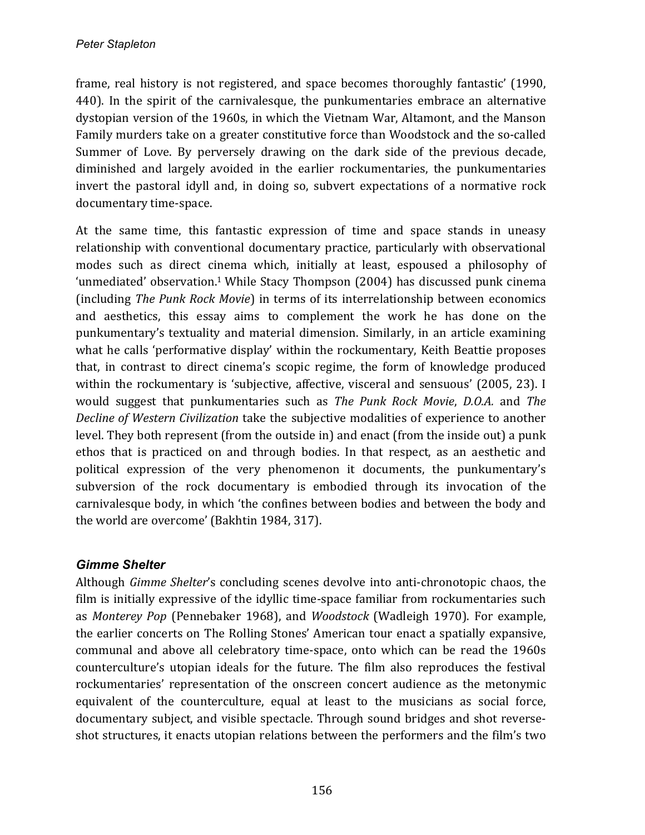frame, real history is not registered, and space becomes thoroughly fantastic' (1990, 440). In the spirit of the carnivalesque, the punkumentaries embrace an alternative dystopian version of the 1960s, in which the Vietnam War, Altamont, and the Manson Family murders take on a greater constitutive force than Woodstock and the so-called Summer of Love. By perversely drawing on the dark side of the previous decade, diminished and largely avoided in the earlier rockumentaries, the punkumentaries invert the pastoral idyll and, in doing so, subvert expectations of a normative rock documentary time-space.

At the same time, this fantastic expression of time and space stands in uneasy relationship with conventional documentary practice, particularly with observational modes such as direct cinema which, initially at least, espoused a philosophy of 'unmediated' observation.<sup>1</sup> While Stacy Thompson (2004) has discussed punk cinema (including *The Punk Rock Movie*) in terms of its interrelationship between economics and aesthetics, this essay aims to complement the work he has done on the punkumentary's textuality and material dimension. Similarly, in an article examining what he calls 'performative display' within the rockumentary, Keith Beattie proposes that, in contrast to direct cinema's scopic regime, the form of knowledge produced within the rockumentary is 'subjective, affective, visceral and sensuous' (2005, 23). I would suggest that punkumentaries such as *The Punk Rock Movie*, *D.O.A.* and *The Decline of Western Civilization* take the subjective modalities of experience to another level. They both represent (from the outside in) and enact (from the inside out) a punk ethos that is practiced on and through bodies. In that respect, as an aesthetic and political expression of the very phenomenon it documents, the punkumentary's subversion of the rock documentary is embodied through its invocation of the carnivalesque body, in which 'the confines between bodies and between the body and the world are overcome' (Bakhtin 1984, 317).

# *Gimme Shelter*

Although *Gimme Shelter's* concluding scenes devolve into anti-chronotopic chaos, the film is initially expressive of the idyllic time-space familiar from rockumentaries such as *Monterey Pop* (Pennebaker 1968), and *Woodstock* (Wadleigh 1970). For example, the earlier concerts on The Rolling Stones' American tour enact a spatially expansive, communal and above all celebratory time-space, onto which can be read the 1960s counterculture's utopian ideals for the future. The film also reproduces the festival rockumentaries' representation of the onscreen concert audience as the metonymic equivalent of the counterculture, equal at least to the musicians as social force, documentary subject, and visible spectacle. Through sound bridges and shot reverseshot structures, it enacts utopian relations between the performers and the film's two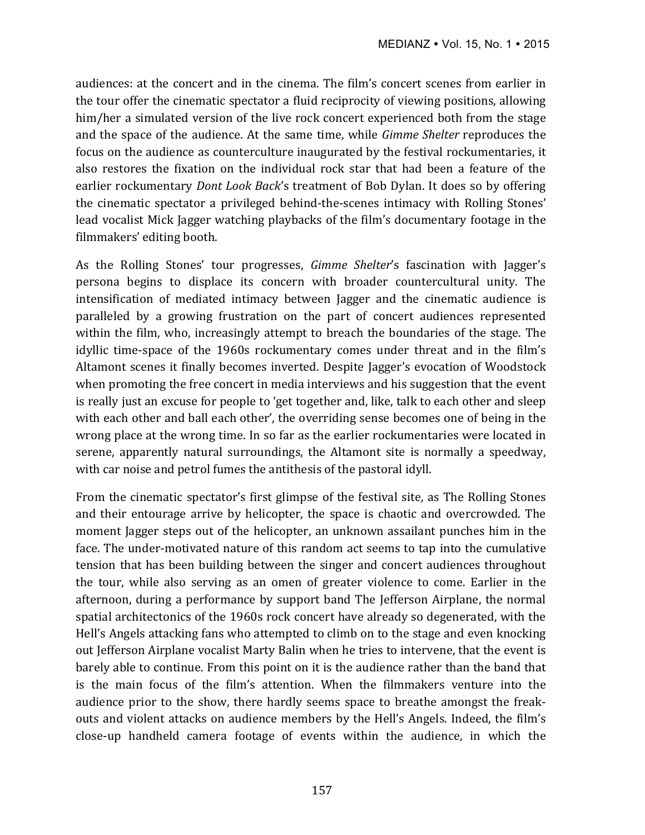audiences: at the concert and in the cinema. The film's concert scenes from earlier in the tour offer the cinematic spectator a fluid reciprocity of viewing positions, allowing him/her a simulated version of the live rock concert experienced both from the stage and the space of the audience. At the same time, while *Gimme Shelter* reproduces the focus on the audience as counterculture inaugurated by the festival rockumentaries, it also restores the fixation on the individual rock star that had been a feature of the earlier rockumentary *Dont Look Back's* treatment of Bob Dylan. It does so by offering the cinematic spectator a privileged behind-the-scenes intimacy with Rolling Stones' lead vocalist Mick Jagger watching playbacks of the film's documentary footage in the filmmakers' editing booth.

As the Rolling Stones' tour progresses, *Gimme Shelter's* fascination with Jagger's persona begins to displace its concern with broader countercultural unity. The intensification of mediated intimacy between Jagger and the cinematic audience is paralleled by a growing frustration on the part of concert audiences represented within the film, who, increasingly attempt to breach the boundaries of the stage. The idyllic time-space of the 1960s rockumentary comes under threat and in the film's Altamont scenes it finally becomes inverted. Despite Jagger's evocation of Woodstock when promoting the free concert in media interviews and his suggestion that the event is really just an excuse for people to 'get together and, like, talk to each other and sleep with each other and ball each other', the overriding sense becomes one of being in the wrong place at the wrong time. In so far as the earlier rockumentaries were located in serene, apparently natural surroundings, the Altamont site is normally a speedway, with car noise and petrol fumes the antithesis of the pastoral idyll.

From the cinematic spectator's first glimpse of the festival site, as The Rolling Stones and their entourage arrive by helicopter, the space is chaotic and overcrowded. The moment Jagger steps out of the helicopter, an unknown assailant punches him in the face. The under-motivated nature of this random act seems to tap into the cumulative tension that has been building between the singer and concert audiences throughout the tour, while also serving as an omen of greater violence to come. Earlier in the afternoon, during a performance by support band The Jefferson Airplane, the normal spatial architectonics of the 1960s rock concert have already so degenerated, with the Hell's Angels attacking fans who attempted to climb on to the stage and even knocking out Jefferson Airplane vocalist Marty Balin when he tries to intervene, that the event is barely able to continue. From this point on it is the audience rather than the band that is the main focus of the film's attention. When the filmmakers venture into the audience prior to the show, there hardly seems space to breathe amongst the freakouts and violent attacks on audience members by the Hell's Angels. Indeed, the film's close-up handheld camera footage of events within the audience, in which the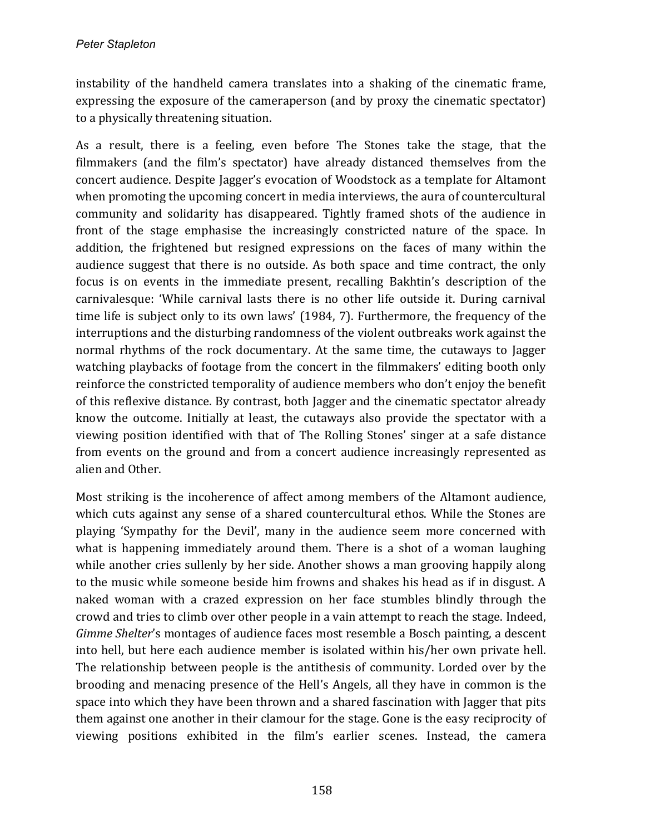instability of the handheld camera translates into a shaking of the cinematic frame, expressing the exposure of the cameraperson (and by proxy the cinematic spectator) to a physically threatening situation.

As a result, there is a feeling, even before The Stones take the stage, that the filmmakers (and the film's spectator) have already distanced themselves from the concert audience. Despite Jagger's evocation of Woodstock as a template for Altamont when promoting the upcoming concert in media interviews, the aura of countercultural community and solidarity has disappeared. Tightly framed shots of the audience in front of the stage emphasise the increasingly constricted nature of the space. In addition, the frightened but resigned expressions on the faces of many within the audience suggest that there is no outside. As both space and time contract, the only focus is on events in the immediate present, recalling Bakhtin's description of the carnivalesque: 'While carnival lasts there is no other life outside it. During carnival time life is subject only to its own laws' (1984, 7). Furthermore, the frequency of the interruptions and the disturbing randomness of the violent outbreaks work against the normal rhythms of the rock documentary. At the same time, the cutaways to Jagger watching playbacks of footage from the concert in the filmmakers' editing booth only reinforce the constricted temporality of audience members who don't enjoy the benefit of this reflexive distance. By contrast, both Jagger and the cinematic spectator already know the outcome. Initially at least, the cutaways also provide the spectator with a viewing position identified with that of The Rolling Stones' singer at a safe distance from events on the ground and from a concert audience increasingly represented as alien and Other.

Most striking is the incoherence of affect among members of the Altamont audience, which cuts against any sense of a shared countercultural ethos. While the Stones are playing 'Sympathy for the Devil', many in the audience seem more concerned with what is happening immediately around them. There is a shot of a woman laughing while another cries sullenly by her side. Another shows a man grooving happily along to the music while someone beside him frowns and shakes his head as if in disgust. A naked woman with a crazed expression on her face stumbles blindly through the crowd and tries to climb over other people in a vain attempt to reach the stage. Indeed, *Gimme Shelter's* montages of audience faces most resemble a Bosch painting, a descent into hell, but here each audience member is isolated within his/her own private hell. The relationship between people is the antithesis of community. Lorded over by the brooding and menacing presence of the Hell's Angels, all they have in common is the space into which they have been thrown and a shared fascination with Jagger that pits them against one another in their clamour for the stage. Gone is the easy reciprocity of viewing positions exhibited in the film's earlier scenes. Instead, the camera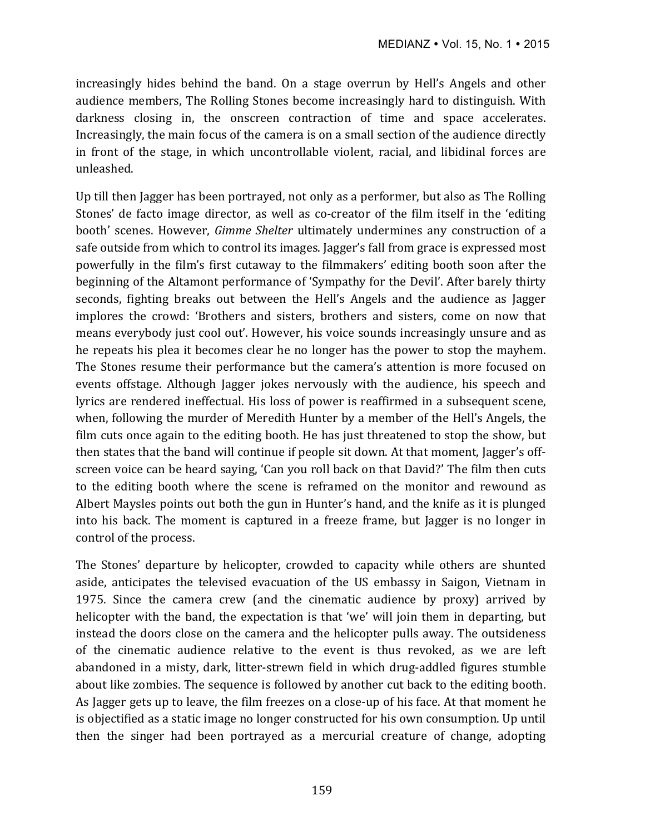increasingly hides behind the band. On a stage overrun by Hell's Angels and other audience members, The Rolling Stones become increasingly hard to distinguish. With darkness closing in, the onscreen contraction of time and space accelerates. Increasingly, the main focus of the camera is on a small section of the audience directly in front of the stage, in which uncontrollable violent, racial, and libidinal forces are unleashed. 

Up till then Jagger has been portrayed, not only as a performer, but also as The Rolling Stones' de facto image director, as well as co-creator of the film itself in the 'editing booth' scenes. However, *Gimme Shelter* ultimately undermines any construction of a safe outside from which to control its images. Jagger's fall from grace is expressed most powerfully in the film's first cutaway to the filmmakers' editing booth soon after the beginning of the Altamont performance of 'Sympathy for the Devil'. After barely thirty seconds, fighting breaks out between the Hell's Angels and the audience as Jagger implores the crowd: 'Brothers and sisters, brothers and sisters, come on now that means everybody just cool out'. However, his voice sounds increasingly unsure and as he repeats his plea it becomes clear he no longer has the power to stop the mayhem. The Stones resume their performance but the camera's attention is more focused on events offstage. Although Jagger jokes nervously with the audience, his speech and lyrics are rendered ineffectual. His loss of power is reaffirmed in a subsequent scene, when, following the murder of Meredith Hunter by a member of the Hell's Angels, the film cuts once again to the editing booth. He has just threatened to stop the show, but then states that the band will continue if people sit down. At that moment, Jagger's offscreen voice can be heard saying, 'Can you roll back on that David?' The film then cuts to the editing booth where the scene is reframed on the monitor and rewound as Albert Maysles points out both the gun in Hunter's hand, and the knife as it is plunged into his back. The moment is captured in a freeze frame, but Jagger is no longer in control of the process.

The Stones' departure by helicopter, crowded to capacity while others are shunted aside, anticipates the televised evacuation of the US embassy in Saigon, Vietnam in 1975. Since the camera crew (and the cinematic audience by proxy) arrived by helicopter with the band, the expectation is that 'we' will join them in departing, but instead the doors close on the camera and the helicopter pulls away. The outsideness of the cinematic audience relative to the event is thus revoked, as we are left abandoned in a misty, dark, litter-strewn field in which drug-addled figures stumble about like zombies. The sequence is followed by another cut back to the editing booth. As Jagger gets up to leave, the film freezes on a close-up of his face. At that moment he is objectified as a static image no longer constructed for his own consumption. Up until then the singer had been portrayed as a mercurial creature of change, adopting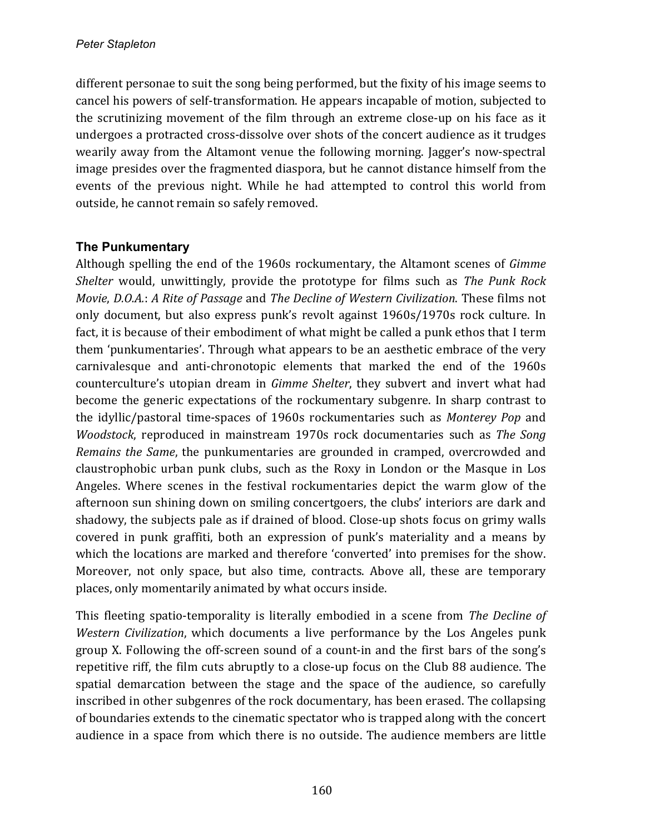different personae to suit the song being performed, but the fixity of his image seems to cancel his powers of self-transformation. He appears incapable of motion, subjected to the scrutinizing movement of the film through an extreme close-up on his face as it undergoes a protracted cross-dissolve over shots of the concert audience as it trudges wearily away from the Altamont venue the following morning. Jagger's now-spectral image presides over the fragmented diaspora, but he cannot distance himself from the events of the previous night. While he had attempted to control this world from outside, he cannot remain so safely removed.

# **The Punkumentary**

Although spelling the end of the 1960s rockumentary, the Altamont scenes of *Gimme Shelter* would, unwittingly, provide the prototype for films such as *The Punk Rock Movie, D.O.A.: A Rite of Passage and The Decline of Western Civilization. These films not* only document, but also express punk's revolt against 1960s/1970s rock culture. In fact, it is because of their embodiment of what might be called a punk ethos that I term them 'punkumentaries'. Through what appears to be an aesthetic embrace of the very carnivalesque and anti-chronotopic elements that marked the end of the 1960s counterculture's utopian dream in *Gimme Shelter*, they subvert and invert what had become the generic expectations of the rockumentary subgenre. In sharp contrast to the idyllic/pastoral time-spaces of 1960s rockumentaries such as *Monterey Pop* and *Woodstock*, reproduced in mainstream 1970s rock documentaries such as *The Song Remains* the *Same*, the punkumentaries are grounded in cramped, overcrowded and claustrophobic urban punk clubs, such as the Roxy in London or the Masque in Los Angeles. Where scenes in the festival rockumentaries depict the warm glow of the afternoon sun shining down on smiling concertgoers, the clubs' interiors are dark and shadowy, the subjects pale as if drained of blood. Close-up shots focus on grimy walls covered in punk graffiti, both an expression of punk's materiality and a means by which the locations are marked and therefore 'converted' into premises for the show. Moreover, not only space, but also time, contracts. Above all, these are temporary places, only momentarily animated by what occurs inside.

This fleeting spatio-temporality is literally embodied in a scene from *The Decline of Western Civilization*, which documents a live performance by the Los Angeles punk group X. Following the off-screen sound of a count-in and the first bars of the song's repetitive riff, the film cuts abruptly to a close-up focus on the Club 88 audience. The spatial demarcation between the stage and the space of the audience, so carefully inscribed in other subgenres of the rock documentary, has been erased. The collapsing of boundaries extends to the cinematic spectator who is trapped along with the concert audience in a space from which there is no outside. The audience members are little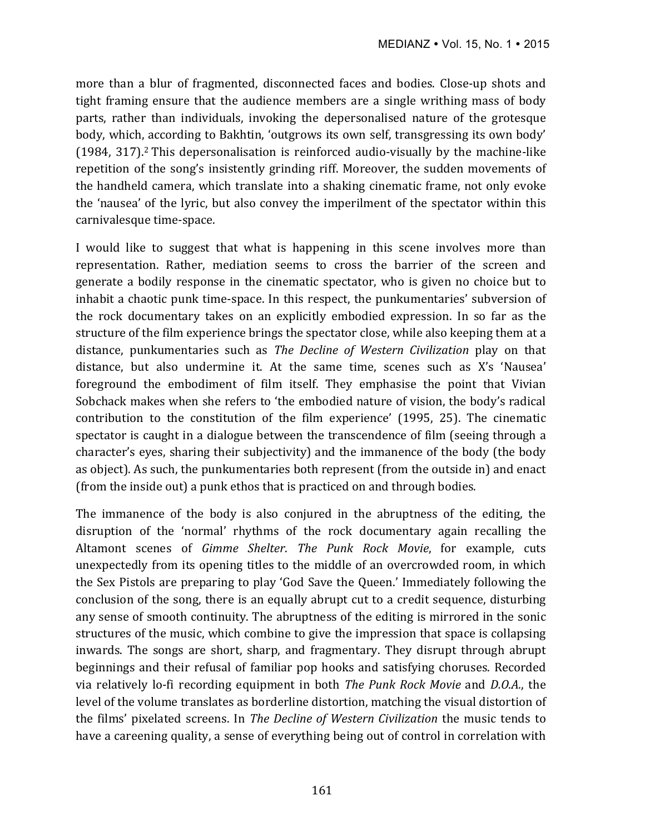more than a blur of fragmented, disconnected faces and bodies. Close-up shots and tight framing ensure that the audience members are a single writhing mass of body parts, rather than individuals, invoking the depersonalised nature of the grotesque body, which, according to Bakhtin, 'outgrows its own self, transgressing its own body' (1984, 317).<sup>2</sup> This depersonalisation is reinforced audio-visually by the machine-like repetition of the song's insistently grinding riff. Moreover, the sudden movements of the handheld camera, which translate into a shaking cinematic frame, not only evoke the 'nausea' of the lyric, but also convey the imperilment of the spectator within this carnivalesque time-space.

I would like to suggest that what is happening in this scene involves more than representation. Rather, mediation seems to cross the barrier of the screen and generate a bodily response in the cinematic spectator, who is given no choice but to inhabit a chaotic punk time-space. In this respect, the punkumentaries' subversion of the rock documentary takes on an explicitly embodied expression. In so far as the structure of the film experience brings the spectator close, while also keeping them at a distance, punkumentaries such as *The Decline of Western Civilization* play on that distance, but also undermine it. At the same time, scenes such as X's 'Nausea' foreground the embodiment of film itself. They emphasise the point that Vivian Sobchack makes when she refers to 'the embodied nature of vision, the body's radical contribution to the constitution of the film experience' (1995, 25). The cinematic spectator is caught in a dialogue between the transcendence of film (seeing through a character's eyes, sharing their subjectivity) and the immanence of the body (the body as object). As such, the punkumentaries both represent (from the outside in) and enact (from the inside out) a punk ethos that is practiced on and through bodies.

The immanence of the body is also conjured in the abruptness of the editing, the disruption of the 'normal' rhythms of the rock documentary again recalling the Altamont scenes of *Gimme Shelter*. The Punk Rock Movie, for example, cuts unexpectedly from its opening titles to the middle of an overcrowded room, in which the Sex Pistols are preparing to play 'God Save the Queen.' Immediately following the conclusion of the song, there is an equally abrupt cut to a credit sequence, disturbing any sense of smooth continuity. The abruptness of the editing is mirrored in the sonic structures of the music, which combine to give the impression that space is collapsing inwards. The songs are short, sharp, and fragmentary. They disrupt through abrupt beginnings and their refusal of familiar pop hooks and satisfying choruses. Recorded via relatively lo-fi recording equipment in both *The Punk Rock Movie* and *D.O.A.*, the level of the volume translates as borderline distortion, matching the visual distortion of the films' pixelated screens. In *The Decline of Western Civilization* the music tends to have a careening quality, a sense of everything being out of control in correlation with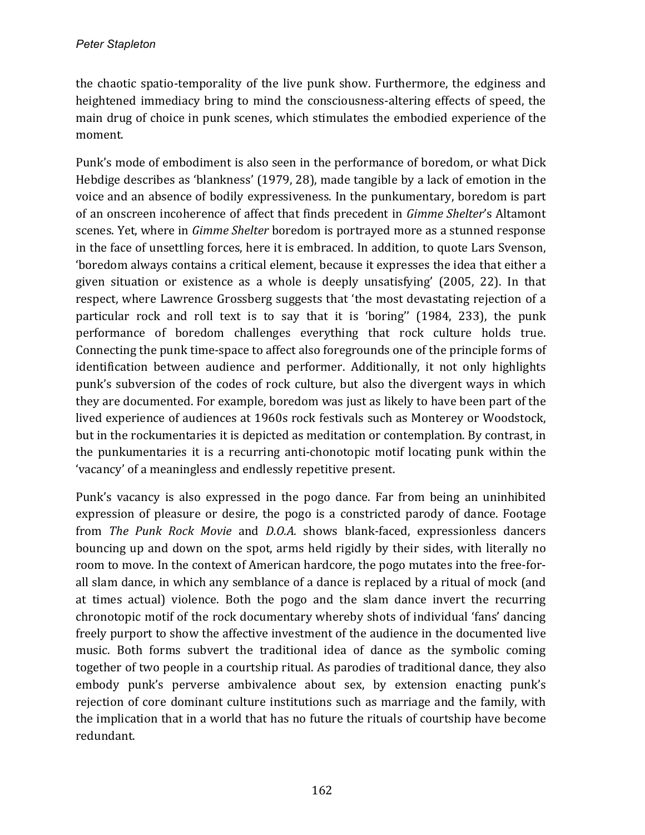the chaotic spatio-temporality of the live punk show. Furthermore, the edginess and heightened immediacy bring to mind the consciousness-altering effects of speed, the main drug of choice in punk scenes, which stimulates the embodied experience of the moment. 

Punk's mode of embodiment is also seen in the performance of boredom, or what Dick Hebdige describes as 'blankness' (1979, 28), made tangible by a lack of emotion in the voice and an absence of bodily expressiveness. In the punkumentary, boredom is part of an onscreen incoherence of affect that finds precedent in *Gimme Shelter's* Altamont scenes. Yet, where in *Gimme Shelter* boredom is portrayed more as a stunned response in the face of unsettling forces, here it is embraced. In addition, to quote Lars Svenson, 'boredom always contains a critical element, because it expresses the idea that either a given situation or existence as a whole is deeply unsatisfying'  $(2005, 22)$ . In that respect, where Lawrence Grossberg suggests that 'the most devastating rejection of a particular rock and roll text is to say that it is 'boring'' (1984, 233), the punk performance of boredom challenges everything that rock culture holds true. Connecting the punk time-space to affect also foregrounds one of the principle forms of identification between audience and performer. Additionally, it not only highlights punk's subversion of the codes of rock culture, but also the divergent ways in which they are documented. For example, boredom was just as likely to have been part of the lived experience of audiences at 1960s rock festivals such as Monterey or Woodstock, but in the rockumentaries it is depicted as meditation or contemplation. By contrast, in the punkumentaries it is a recurring anti-chonotopic motif locating punk within the 'vacancy' of a meaningless and endlessly repetitive present.

Punk's vacancy is also expressed in the pogo dance. Far from being an uninhibited expression of pleasure or desire, the pogo is a constricted parody of dance. Footage from *The Punk Rock Movie* and *D.O.A.* shows blank-faced, expressionless dancers bouncing up and down on the spot, arms held rigidly by their sides, with literally no room to move. In the context of American hardcore, the pogo mutates into the free-forall slam dance, in which any semblance of a dance is replaced by a ritual of mock (and at times actual) violence. Both the pogo and the slam dance invert the recurring chronotopic motif of the rock documentary whereby shots of individual 'fans' dancing freely purport to show the affective investment of the audience in the documented live music. Both forms subvert the traditional idea of dance as the symbolic coming together of two people in a courtship ritual. As parodies of traditional dance, they also embody punk's perverse ambivalence about sex, by extension enacting punk's rejection of core dominant culture institutions such as marriage and the family, with the implication that in a world that has no future the rituals of courtship have become redundant.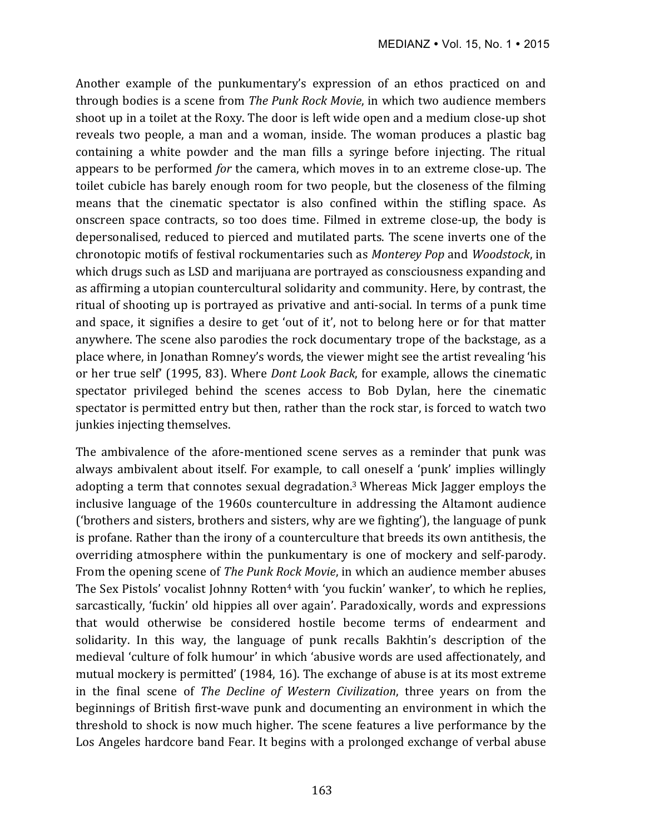Another example of the punkumentary's expression of an ethos practiced on and through bodies is a scene from *The Punk Rock Movie*, in which two audience members shoot up in a toilet at the Roxy. The door is left wide open and a medium close-up shot reveals two people, a man and a woman, inside. The woman produces a plastic bag containing a white powder and the man fills a syringe before injecting. The ritual appears to be performed *for* the camera, which moves in to an extreme close-up. The toilet cubicle has barely enough room for two people, but the closeness of the filming means that the cinematic spectator is also confined within the stifling space. As onscreen space contracts, so too does time. Filmed in extreme close-up, the body is depersonalised, reduced to pierced and mutilated parts. The scene inverts one of the chronotopic motifs of festival rockumentaries such as *Monterey Pop* and *Woodstock*, in which drugs such as LSD and marijuana are portrayed as consciousness expanding and as affirming a utopian countercultural solidarity and community. Here, by contrast, the ritual of shooting up is portrayed as privative and anti-social. In terms of a punk time and space, it signifies a desire to get 'out of it', not to belong here or for that matter anywhere. The scene also parodies the rock documentary trope of the backstage, as a place where, in Jonathan Romney's words, the viewer might see the artist revealing 'his or her true self' (1995, 83). Where *Dont Look Back*, for example, allows the cinematic spectator privileged behind the scenes access to Bob Dylan, here the cinematic spectator is permitted entry but then, rather than the rock star, is forced to watch two junkies injecting themselves.

The ambivalence of the afore-mentioned scene serves as a reminder that punk was always ambivalent about itself. For example, to call oneself a 'punk' implies willingly adopting a term that connotes sexual degradation.<sup>3</sup> Whereas Mick Jagger employs the inclusive language of the 1960s counterculture in addressing the Altamont audience ('brothers and sisters, brothers and sisters, why are we fighting'), the language of punk is profane. Rather than the irony of a counterculture that breeds its own antithesis, the overriding atmosphere within the punkumentary is one of mockery and self-parody. From the opening scene of *The Punk Rock Movie*, in which an audience member abuses The Sex Pistols' vocalist Johnny Rotten<sup>4</sup> with 'you fuckin' wanker', to which he replies, sarcastically, 'fuckin' old hippies all over again'. Paradoxically, words and expressions that would otherwise be considered hostile become terms of endearment and solidarity. In this way, the language of punk recalls Bakhtin's description of the medieval 'culture of folk humour' in which 'abusive words are used affectionately, and mutual mockery is permitted'  $(1984, 16)$ . The exchange of abuse is at its most extreme in the final scene of *The Decline of Western Civilization*, three years on from the beginnings of British first-wave punk and documenting an environment in which the threshold to shock is now much higher. The scene features a live performance by the Los Angeles hardcore band Fear. It begins with a prolonged exchange of verbal abuse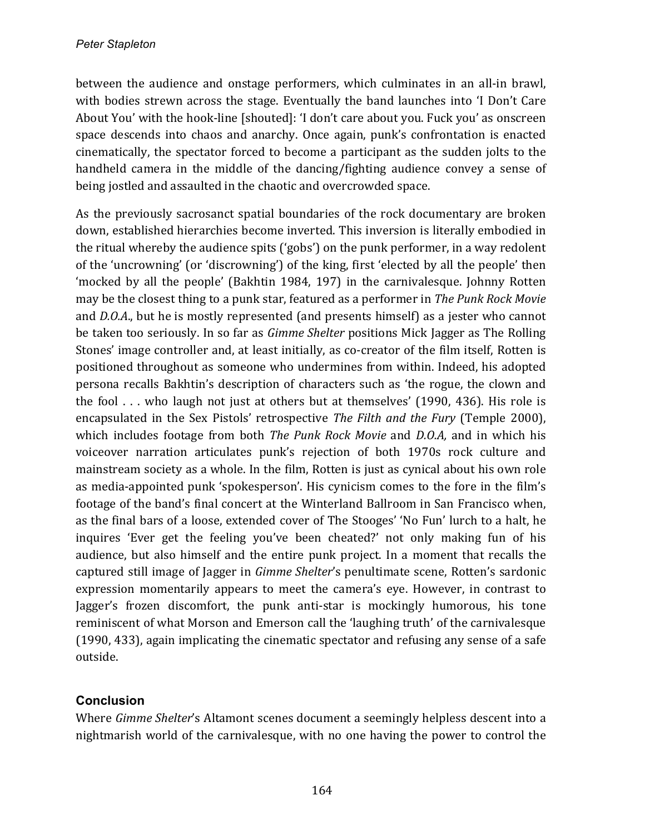between the audience and onstage performers, which culminates in an all-in brawl, with bodies strewn across the stage. Eventually the band launches into 'I Don't Care About You' with the hook-line [shouted]: 'I don't care about you. Fuck you' as onscreen space descends into chaos and anarchy. Once again, punk's confrontation is enacted cinematically, the spectator forced to become a participant as the sudden jolts to the handheld camera in the middle of the dancing/fighting audience convey a sense of being jostled and assaulted in the chaotic and overcrowded space.

As the previously sacrosanct spatial boundaries of the rock documentary are broken down, established hierarchies become inverted. This inversion is literally embodied in the ritual whereby the audience spits ('gobs') on the punk performer, in a way redolent of the 'uncrowning' (or 'discrowning') of the king, first 'elected by all the people' then 'mocked by all the people' (Bakhtin 1984, 197) in the carnivalesque. Johnny Rotten may be the closest thing to a punk star, featured as a performer in *The Punk Rock Movie* and *D.O.A*., but he is mostly represented (and presents himself) as a jester who cannot be taken too seriously. In so far as *Gimme Shelter* positions Mick Jagger as The Rolling Stones' image controller and, at least initially, as co-creator of the film itself, Rotten is positioned throughout as someone who undermines from within. Indeed, his adopted persona recalls Bakhtin's description of characters such as 'the rogue, the clown and the fool  $\ldots$  who laugh not just at others but at themselves' (1990, 436). His role is encapsulated in the Sex Pistols' retrospective *The Filth and the Fury* (Temple 2000), which includes footage from both *The Punk Rock Movie* and *D.O.A*, and in which his voiceover narration articulates punk's rejection of both 1970s rock culture and mainstream society as a whole. In the film, Rotten is just as cynical about his own role as media-appointed punk 'spokesperson'. His cynicism comes to the fore in the film's footage of the band's final concert at the Winterland Ballroom in San Francisco when, as the final bars of a loose, extended cover of The Stooges' 'No Fun' lurch to a halt, he inquires 'Ever get the feeling you've been cheated?' not only making fun of his audience, but also himself and the entire punk project. In a moment that recalls the captured still image of Jagger in *Gimme Shelter's* penultimate scene, Rotten's sardonic expression momentarily appears to meet the camera's eye. However, in contrast to Jagger's frozen discomfort, the punk anti-star is mockingly humorous, his tone reminiscent of what Morson and Emerson call the 'laughing truth' of the carnivalesque  $(1990, 433)$ , again implicating the cinematic spectator and refusing any sense of a safe outside.

# **Conclusion**

Where *Gimme Shelter's* Altamont scenes document a seemingly helpless descent into a nightmarish world of the carnivalesque, with no one having the power to control the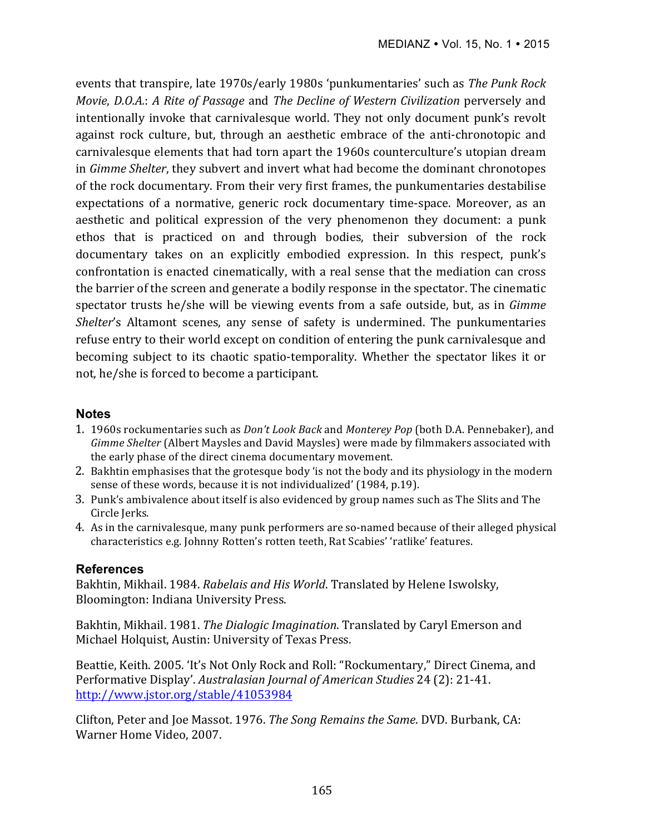events that transpire, late 1970s/early 1980s 'punkumentaries' such as *The Punk Rock Movie, D.O.A.: A Rite of Passage and The Decline of Western Civilization perversely and* intentionally invoke that carnivalesque world. They not only document punk's revolt against rock culture, but, through an aesthetic embrace of the anti-chronotopic and carnivalesque elements that had torn apart the 1960s counterculture's utopian dream in *Gimme Shelter*, they subvert and invert what had become the dominant chronotopes of the rock documentary. From their very first frames, the punkumentaries destabilise expectations of a normative, generic rock documentary time-space. Moreover, as an aesthetic and political expression of the very phenomenon they document: a punk ethos that is practiced on and through bodies, their subversion of the rock documentary takes on an explicitly embodied expression. In this respect, punk's confrontation is enacted cinematically, with a real sense that the mediation can cross the barrier of the screen and generate a bodily response in the spectator. The cinematic spectator trusts he/she will be viewing events from a safe outside, but, as in *Gimme Shelter's* Altamont scenes, any sense of safety is undermined. The punkumentaries refuse entry to their world except on condition of entering the punk carnivalesque and becoming subject to its chaotic spatio-temporality. Whether the spectator likes it or not, he/she is forced to become a participant.

### **Notes**

- 1. 1960s rockumentaries such as *Don't Look Back* and *Monterey Pop* (both D.A. Pennebaker), and *Gimme Shelter* (Albert Maysles and David Maysles) were made by filmmakers associated with the early phase of the direct cinema documentary movement.
- 2. Bakhtin emphasises that the grotesque body 'is not the body and its physiology in the modern sense of these words, because it is not individualized' (1984, p.19).
- 3. Punk's ambivalence about itself is also evidenced by group names such as The Slits and The Circle Jerks.
- 4. As in the carnivalesque, many punk performers are so-named because of their alleged physical characteristics e.g. Johnny Rotten's rotten teeth, Rat Scabies' 'ratlike' features.

## **References**

Bakhtin, Mikhail. 1984. *Rabelais and His World*. Translated by Helene Iswolsky, Bloomington: Indiana University Press.

Bakhtin, Mikhail. 1981. *The Dialogic Imagination*. Translated by Caryl Emerson and Michael Holquist, Austin: University of Texas Press.

Beattie, Keith. 2005. 'It's Not Only Rock and Roll: "Rockumentary," Direct Cinema, and Performative Display'. Australasian Journal of American Studies 24 (2): 21-41. http://www.jstor.org/stable/41053984

Clifton, Peter and Joe Massot. 1976. *The Song Remains the Same*. DVD. Burbank, CA: Warner Home Video, 2007.